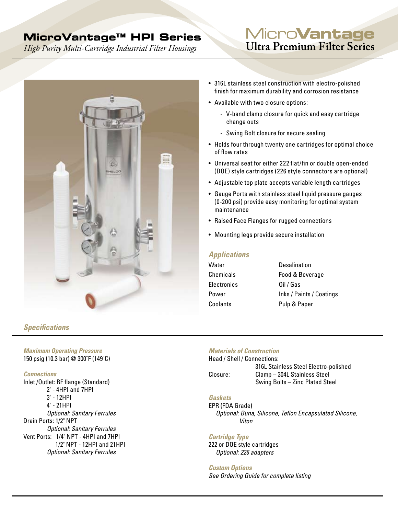# **MicroVantage™ HPI Series**

*High Purity Multi-Cartridge Industrial Filter Housings* 

# Micro**Vantage Ultra Premium Filter Series**



#### • 316L stainless steel construction with electro-polished finish for maximum durability and corrosion resistance

- Available with two closure options:
	- V-band clamp closure for quick and easy cartridge change outs
	- Swing Bolt closure for secure sealing
- Holds four through twenty one cartridges for optimal choice of flow rates
- Universal seat for either 222 flat/fin or double open-ended (DOE) style cartridges (226 style connectors are optional)
- Adjustable top plate accepts variable length cartridges
- Gauge Ports with stainless steel liquid pressure gauges (0-200 psi) provide easy monitoring for optimal system maintenance
- Raised Face Flanges for rugged connections
- Mounting legs provide secure installation

# *Applications*

| Water       | Desalination             |
|-------------|--------------------------|
| Chemicals   | Food & Beverage          |
| Electronics | Oil / Gas                |
| Power       | Inks / Paints / Coatings |
| Coolants    | Pulp & Paper             |

## *Specifications*

#### *Maximum Operating Pressure* 150 psig (10.3 bar) @ 300˚F (149˚C)

#### *Connections*

Inlet /Outlet: RF flange (Standard) 2" - 4HPI and 7HPI 3" - 12HPI 4" - 21HPI *Optional: Sanitary Ferrules* Drain Ports: 1/2" NPT *Optional: Sanitary Ferrules* Vent Ports: 1/4" NPT - 4HPI and 7HPI 1/2" NPT - 12HPI and 21HPI *Optional: Sanitary Ferrules*

### *Materials of Construction*

Head / Shell / Connections: 316L Stainless Steel Electro-polished Closure: Clamp – 304L Stainless Steel Swing Bolts – Zinc Plated Steel

## *Gaskets*

EPR (FDA Grade) *Optional: Buna, Silicone, Teflon Encapsulated Silicone, Viton*

### *Cartridge Type*

222 or DOE style cartridges  *Optional: 226 adapters*

#### *Custom Options*

*See Ordering Guide for complete listing*